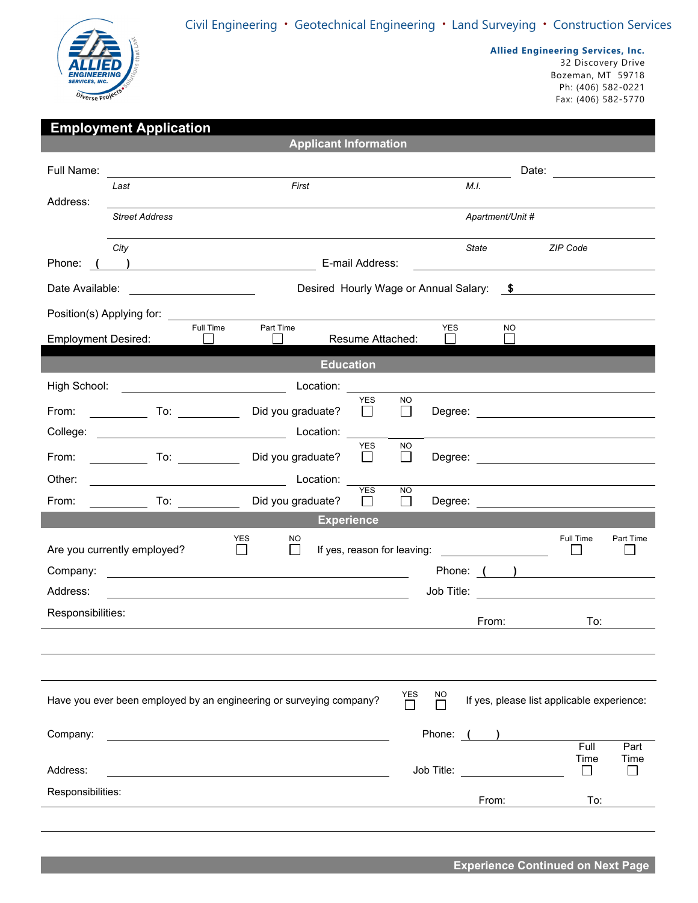Civil Engineering • Geotechnical Engineering • Land Surveying • Construction Services



**Allied Engineering Services, Inc.** 

32 Discovery Drive Bozeman, MT 59718 Ph: (406) 582-0221 Fax: (406) 582-5770

| <b>Employment Application</b>                                                                                                                                        |                                                                                                                                                                                                                               |               |                   |                              |                            |                      |            |       |                  |                                                                                                                                                                                                                                |              |
|----------------------------------------------------------------------------------------------------------------------------------------------------------------------|-------------------------------------------------------------------------------------------------------------------------------------------------------------------------------------------------------------------------------|---------------|-------------------|------------------------------|----------------------------|----------------------|------------|-------|------------------|--------------------------------------------------------------------------------------------------------------------------------------------------------------------------------------------------------------------------------|--------------|
|                                                                                                                                                                      |                                                                                                                                                                                                                               |               |                   | <b>Applicant Information</b> |                            |                      |            |       |                  |                                                                                                                                                                                                                                |              |
| Full Name:                                                                                                                                                           |                                                                                                                                                                                                                               |               |                   |                              |                            |                      |            |       |                  | Date: <u>___________</u>                                                                                                                                                                                                       |              |
|                                                                                                                                                                      | Last                                                                                                                                                                                                                          |               | First             |                              |                            |                      |            | M.I.  |                  |                                                                                                                                                                                                                                |              |
| Address:                                                                                                                                                             | <b>Street Address</b>                                                                                                                                                                                                         |               |                   |                              |                            |                      |            |       | Apartment/Unit # |                                                                                                                                                                                                                                |              |
|                                                                                                                                                                      |                                                                                                                                                                                                                               |               |                   |                              |                            |                      |            |       |                  |                                                                                                                                                                                                                                |              |
|                                                                                                                                                                      | City                                                                                                                                                                                                                          |               |                   |                              |                            |                      |            | State |                  | ZIP Code                                                                                                                                                                                                                       |              |
| Phone:                                                                                                                                                               | $\overline{\phantom{a}}$                                                                                                                                                                                                      |               |                   |                              | E-mail Address:            |                      |            |       |                  |                                                                                                                                                                                                                                |              |
| Date Available:<br>Desired Hourly Wage or Annual Salary: \$                                                                                                          |                                                                                                                                                                                                                               |               |                   |                              |                            |                      |            |       |                  |                                                                                                                                                                                                                                |              |
|                                                                                                                                                                      | Position(s) Applying for: Network and the set of the set of the set of the set of the set of the set of the set of the set of the set of the set of the set of the set of the set of the set of the set of the set of the set |               |                   |                              |                            |                      |            |       |                  |                                                                                                                                                                                                                                |              |
| <b>Employment Desired:</b>                                                                                                                                           |                                                                                                                                                                                                                               | Full Time     | Part Time         |                              | Resume Attached:           |                      | <b>YES</b> |       | <b>NO</b>        |                                                                                                                                                                                                                                |              |
| <b>Education</b>                                                                                                                                                     |                                                                                                                                                                                                                               |               |                   |                              |                            |                      |            |       |                  |                                                                                                                                                                                                                                |              |
| High School:                                                                                                                                                         | <b>Example 2018</b> Location:                                                                                                                                                                                                 |               |                   |                              |                            |                      |            |       |                  |                                                                                                                                                                                                                                |              |
| From:                                                                                                                                                                | $\overline{\phantom{a}}$ To: $\overline{\phantom{a}}$                                                                                                                                                                         |               | Did you graduate? |                              | <b>YES</b><br>$\mathbf{L}$ | <b>NO</b><br>$\Box$  |            |       |                  |                                                                                                                                                                                                                                |              |
|                                                                                                                                                                      |                                                                                                                                                                                                                               |               |                   |                              |                            |                      |            |       |                  |                                                                                                                                                                                                                                |              |
| From:                                                                                                                                                                |                                                                                                                                                                                                                               |               | Did you graduate? |                              | <b>YES</b><br>$\perp$      | <b>NO</b><br>$\Box$  |            |       |                  |                                                                                                                                                                                                                                |              |
| Other:                                                                                                                                                               | Location:                                                                                                                                                                                                                     |               |                   |                              |                            |                      |            |       |                  |                                                                                                                                                                                                                                |              |
| From:                                                                                                                                                                |                                                                                                                                                                                                                               |               | Did you graduate? |                              | <b>YES</b><br>$\perp$      | <b>NO</b><br>$\perp$ |            |       |                  | Degree: the contract of the contract of the contract of the contract of the contract of the contract of the contract of the contract of the contract of the contract of the contract of the contract of the contract of the co |              |
|                                                                                                                                                                      |                                                                                                                                                                                                                               |               |                   |                              | <b>Experience</b>          |                      |            |       |                  |                                                                                                                                                                                                                                |              |
|                                                                                                                                                                      | Are you currently employed?                                                                                                                                                                                                   | YES<br>$\Box$ | NO.<br>$\Box$     |                              |                            |                      |            |       |                  | Full Time                                                                                                                                                                                                                      | Part Time    |
| If yes, reason for leaving:<br><u> 1980 - Jan Barbara Barbara, prima popula</u><br>Phone: ( )<br>Company:<br><u> 1989 - Johann Stein, fransk politiker (d. 1989)</u> |                                                                                                                                                                                                                               |               |                   |                              |                            |                      |            |       |                  |                                                                                                                                                                                                                                |              |
| Address:                                                                                                                                                             |                                                                                                                                                                                                                               |               |                   |                              |                            |                      |            |       |                  |                                                                                                                                                                                                                                |              |
| <u> 1989 - Johann Stoff, deutscher Stoffen und der Stoffen und der Stoffen und der Stoffen und der Stoffen und der</u><br>Responsibilities:                          |                                                                                                                                                                                                                               |               |                   |                              |                            |                      |            |       |                  |                                                                                                                                                                                                                                |              |
|                                                                                                                                                                      |                                                                                                                                                                                                                               |               |                   |                              |                            |                      |            | From: |                  | To:                                                                                                                                                                                                                            |              |
|                                                                                                                                                                      |                                                                                                                                                                                                                               |               |                   |                              |                            |                      |            |       |                  |                                                                                                                                                                                                                                |              |
|                                                                                                                                                                      |                                                                                                                                                                                                                               |               |                   |                              |                            |                      |            |       |                  |                                                                                                                                                                                                                                |              |
| YES<br>NO<br>Have you ever been employed by an engineering or surveying company?<br>If yes, please list applicable experience:<br>$\mathbf{I}$                       |                                                                                                                                                                                                                               |               |                   |                              |                            |                      |            |       |                  |                                                                                                                                                                                                                                |              |
| Company:                                                                                                                                                             |                                                                                                                                                                                                                               |               |                   |                              |                            |                      | Phone:     |       |                  |                                                                                                                                                                                                                                |              |
|                                                                                                                                                                      |                                                                                                                                                                                                                               |               |                   |                              |                            |                      |            |       |                  | Full<br>Time                                                                                                                                                                                                                   | Part<br>Time |
| Address:                                                                                                                                                             |                                                                                                                                                                                                                               |               |                   |                              |                            |                      | Job Title: |       |                  | $\mathbf{I}$                                                                                                                                                                                                                   |              |
| Responsibilities:                                                                                                                                                    |                                                                                                                                                                                                                               |               |                   |                              |                            |                      |            | From: |                  | To:                                                                                                                                                                                                                            |              |
|                                                                                                                                                                      |                                                                                                                                                                                                                               |               |                   |                              |                            |                      |            |       |                  |                                                                                                                                                                                                                                |              |